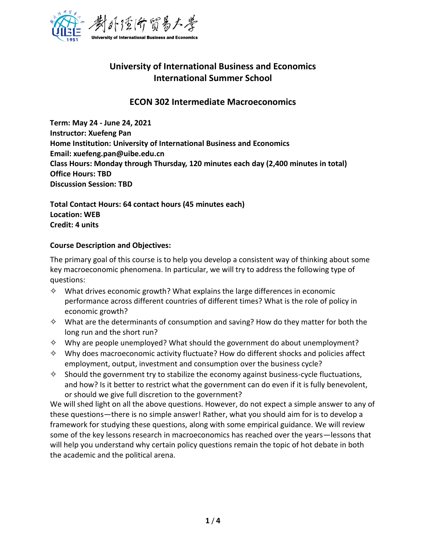

# **University of International Business and Economics International Summer School**

# **ECON 302 Intermediate Macroeconomics**

**Term: May 24 - June 24, 2021 Instructor: Xuefeng Pan Home Institution: University of International Business and Economics Email: xuefeng.pan@uibe.edu.cn Class Hours: Monday through Thursday, 120 minutes each day (2,400 minutes in total) Office Hours: TBD Discussion Session: TBD** 

**Total Contact Hours: 64 contact hours (45 minutes each) Location: WEB Credit: 4 units**

#### **Course Description and Objectives:**

The primary goal of this course is to help you develop a consistent way of thinking about some key macroeconomic phenomena. In particular, we will try to address the following type of questions:

- $\diamond$  What drives economic growth? What explains the large differences in economic performance across different countries of different times? What is the role of policy in economic growth?
- $\diamond$  What are the determinants of consumption and saving? How do they matter for both the long run and the short run?
- $\diamond$  Why are people unemployed? What should the government do about unemployment?
- $\diamond$  Why does macroeconomic activity fluctuate? How do different shocks and policies affect employment, output, investment and consumption over the business cycle?
- $\diamond$  Should the government try to stabilize the economy against business-cycle fluctuations, and how? Is it better to restrict what the government can do even if it is fully benevolent, or should we give full discretion to the government?

We will shed light on all the above questions. However, do not expect a simple answer to any of these questions—there is no simple answer! Rather, what you should aim for is to develop a framework for studying these questions, along with some empirical guidance. We will review some of the key lessons research in macroeconomics has reached over the years—lessons that will help you understand why certain policy questions remain the topic of hot debate in both the academic and the political arena.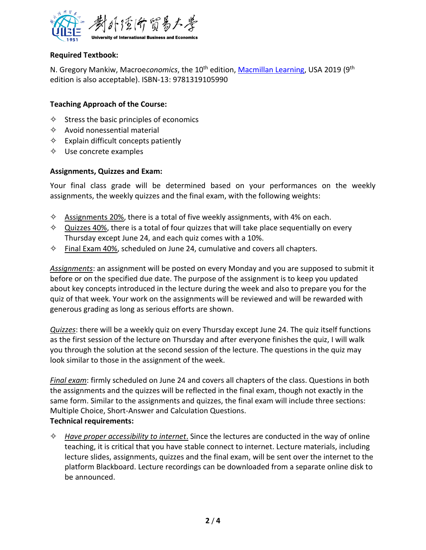

## **Required Textbook:**

N. Gregory Mankiw, Macroe*conomics*, the 10<sup>th</sup> edition, <u>Macmillan Learning</u>, USA 2019 (9<sup>th</sup> edition is also acceptable). ISBN-13: 9781319105990

### **Teaching Approach of the Course:**

- $\diamond$  Stress the basic principles of economics
- $\Diamond$  Avoid nonessential material
- $\Leftrightarrow$  Explain difficult concepts patiently
- $\diamond$  Use concrete examples

#### **Assignments, Quizzes and Exam:**

Your final class grade will be determined based on your performances on the weekly assignments, the weekly quizzes and the final exam, with the following weights:

- $\diamond$  Assignments 20%, there is a total of five weekly assignments, with 4% on each.
- $\diamond$  Quizzes 40%, there is a total of four quizzes that will take place sequentially on every Thursday except June 24, and each quiz comes with a 10%.
- $\diamond$  Final Exam 40%, scheduled on June 24, cumulative and covers all chapters.

*Assignments*: an assignment will be posted on every Monday and you are supposed to submit it before or on the specified due date. The purpose of the assignment is to keep you updated about key concepts introduced in the lecture during the week and also to prepare you for the quiz of that week. Your work on the assignments will be reviewed and will be rewarded with generous grading as long as serious efforts are shown.

*Quizzes*: there will be a weekly quiz on every Thursday except June 24. The quiz itself functions as the first session of the lecture on Thursday and after everyone finishes the quiz, I will walk you through the solution at the second session of the lecture. The questions in the quiz may look similar to those in the assignment of the week.

*Final exam*: firmly scheduled on June 24 and covers all chapters of the class. Questions in both the assignments and the quizzes will be reflected in the final exam, though not exactly in the same form. Similar to the assignments and quizzes, the final exam will include three sections: Multiple Choice, Short-Answer and Calculation Questions. **Technical requirements:**

✧ *Have proper accessibility to internet*. Since the lectures are conducted in the way of online teaching, it is critical that you have stable connect to internet. Lecture materials, including lecture slides, assignments, quizzes and the final exam, will be sent over the internet to the platform Blackboard. Lecture recordings can be downloaded from a separate online disk to be announced.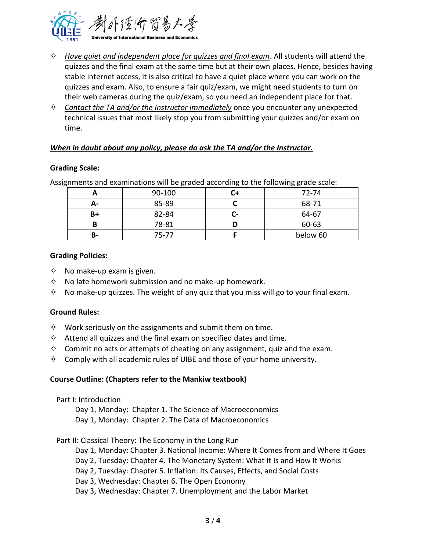

- ✧ *Have quiet and independent place for quizzes and final exam*. All students will attend the quizzes and the final exam at the same time but at their own places. Hence, besides having stable internet access, it is also critical to have a quiet place where you can work on the quizzes and exam. Also, to ensure a fair quiz/exam, we might need students to turn on their web cameras during the quiz/exam, so you need an independent place for that.
- ✧ *Contact the TA and/or the Instructor immediately* once you encounter any unexpected technical issues that most likely stop you from submitting your quizzes and/or exam on time.

#### *When in doubt about any policy, please do ask the TA and/or the Instructor.*

#### **Grading Scale:**

Assignments and examinations will be graded according to the following grade scale:

|    | 90-100 |    | 72-74    |
|----|--------|----|----------|
| А- | 85-89  |    | 68-71    |
| B+ | 82-84  | u= | 64-67    |
|    | 78-81  |    | 60-63    |
| В- | 75-77  |    | below 60 |

#### **Grading Policies:**

- $\diamond$  No make-up exam is given.
- $\diamond$  No late homework submission and no make-up homework.
- $\diamond$  No make-up quizzes. The weight of any quiz that you miss will go to your final exam.

#### **Ground Rules:**

- $\diamond$  Work seriously on the assignments and submit them on time.
- $\diamond$  Attend all quizzes and the final exam on specified dates and time.
- $\diamond$  Commit no acts or attempts of cheating on any assignment, quiz and the exam.
- $\diamond$  Comply with all academic rules of UIBE and those of your home university.

#### **Course Outline: (Chapters refer to the Mankiw textbook)**

Part I: Introduction

Day 1, Monday: Chapter 1. The Science of Macroeconomics Day 1, Monday: Chapter 2. The Data of Macroeconomics

#### Part II: Classical Theory: The Economy in the Long Run

Day 1, Monday: Chapter 3. National Income: Where It Comes from and Where It Goes

- Day 2, Tuesday: Chapter 4. The Monetary System: What It Is and How It Works
- Day 2, Tuesday: Chapter 5. Inflation: Its Causes, Effects, and Social Costs
- Day 3, Wednesday: Chapter 6. The Open Economy

Day 3, Wednesday: Chapter 7. Unemployment and the Labor Market